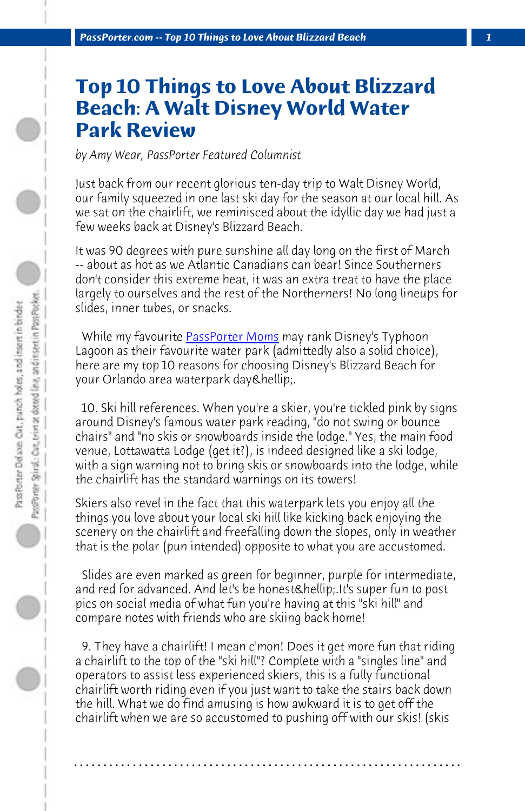*PassPorter.com -- Top 10 Things to Love About Blizzard Beach 1*

## **Top 10 Thi[ngs to Love](http://www.passporter.com/podcast) About Blizzard Beach: A Walt Disney World Water Park Review**

*by Amy Wear, PassPorter Featured Columnist*

Just back from our recent glorious ten-day trip to Walt Disney World, our family squeezed in one last ski day for the season at our local hill. As we sat on the chairlift, we reminisced about the idyllic day we had just a few weeks back at Disney's Blizzard Beach.

It was 90 degrees with pure sunshine all day long on the first of March -- about as hot as we Atlantic Canadians can bear! Since Southerners don't consider this extreme heat, it was an extra treat to have the place largely to ourselves and the rest of the Northerners! No long lineups for slides, inner tubes, or snacks.

While my favourite **PassPorter Moms** may rank Disney's Typhoon Lagoon as their favourite water park (admittedly also a solid choice), here are my top 10 reasons for choosing Disney's Blizzard Beach for your Orlando area waterpark day & hellip;.

 10. Ski hill references. When you're a skier, you're tickled pink by signs around Disney's famous water park reading, "do not swing or bounce chairs" and "no skis or snowboards inside the lodge." Yes, the main food venue, Lottawatta Lodge (get it?), is indeed designed like a ski lodge, with a sign warning not to bring skis or snowboards into the lodge, while the chairlift has the standard warnings on its towers!

Skiers also revel in the fact that this waterpark lets you enjoy all the things you love about your local ski hill like kicking back enjoying the scenery on the chairlift and freefalling down the slopes, only in weather that is the polar (pun intended) opposite to what you are accustomed.

 Slides are even marked as green for beginner, purple for intermediate, and red for advanced. And let's be honest….It's super fun to post pics on social media of what fun you're having at this "ski hill" and compare notes with friends who are skiing back home!

 9. They have a chairlift! I mean c'mon! Does it get more fun that riding a chairlift to the top of the "ski hill"? Complete with a "singles line" and operators to assist less experienced skiers, this is a fully functional chairlift worth riding even if you just want to take the stairs back down the hill. What we do find amusing is how awkward it is to get off the chairlift when we are so accustomed to pushing off with our skis! (skis

**. . . . . . . . . . . . . . . . . . . . . . . . . . . . . . . . . . . . . . . . . . . . . . . . . . . . . . . . . . . . . . . . . .**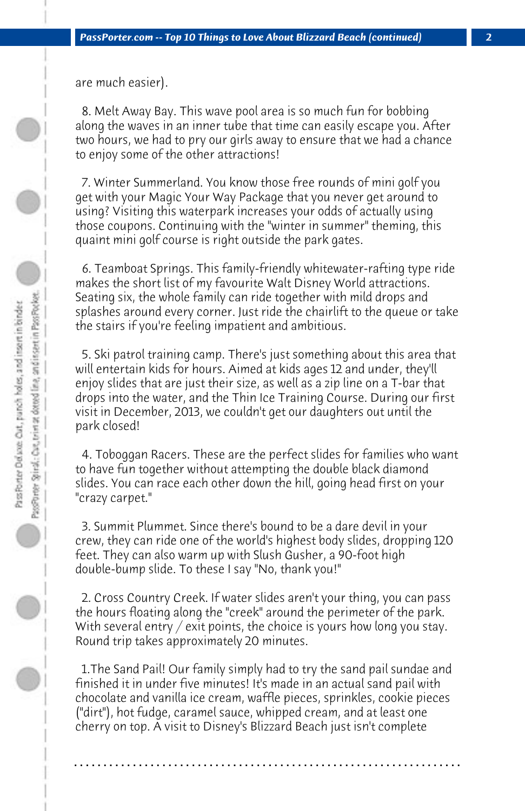are much easier).

 8. Melt Away Bay. This wave pool area is so much fun for bobbing along the waves in an inner tube that time can easily escape you. After two hours, we had to pry our girls away to ensure that we had a chance to enjoy some of the other attractions!

 7. Winter Summerland. You know those free rounds of mini golf you get with your Magic Your Way Package that you never get around to using? Visiting this waterpark increases your odds of actually using those coupons. Continuing with the "winter in summer" theming, this quaint mini golf course is right outside the park gates.

 6. Teamboat Springs. This family-friendly whitewater-rafting type ride makes the short list of my favourite Walt Disney World attractions. Seating six, the whole family can ride together with mild drops and splashes around every corner. Just ride the chairlift to the queue or take the stairs if you're feeling impatient and ambitious.

 5. Ski patrol training camp. There's just something about this area that will entertain kids for hours. Aimed at kids ages 12 and under, they'll enjoy slides that are just their size, as well as a zip line on a T-bar that drops into the water, and the Thin Ice Training Course. During our first visit in December, 2013, we couldn't get our daughters out until the park closed!

 4. Toboggan Racers. These are the perfect slides for families who want to have fun together without attempting the double black diamond slides. You can race each other down the hill, going head first on your "crazy carpet."

 3. Summit Plummet. Since there's bound to be a dare devil in your crew, they can ride one of the world's highest body slides, dropping 120 feet. They can also warm up with Slush Gusher, a 90-foot high double-bump slide. To these I say "No, thank you!"

 2. Cross Country Creek. If water slides aren't your thing, you can pass the hours floating along the "creek" around the perimeter of the park. With several entry / exit points, the choice is yours how long you stay. Round trip takes approximately 20 minutes.

 1.The Sand Pail! Our family simply had to try the sand pail sundae and finished it in under five minutes! It's made in an actual sand pail with chocolate and vanilla ice cream, waffle pieces, sprinkles, cookie pieces ("dirt"), hot fudge, caramel sauce, whipped cream, and at least one cherry on top. A visit to Disney's Blizzard Beach just isn't complete

**. . . . . . . . . . . . . . . . . . . . . . . . . . . . . . . . . . . . . . . . . . . . . . . . . . . . . . . . . . . . . . . . . .**